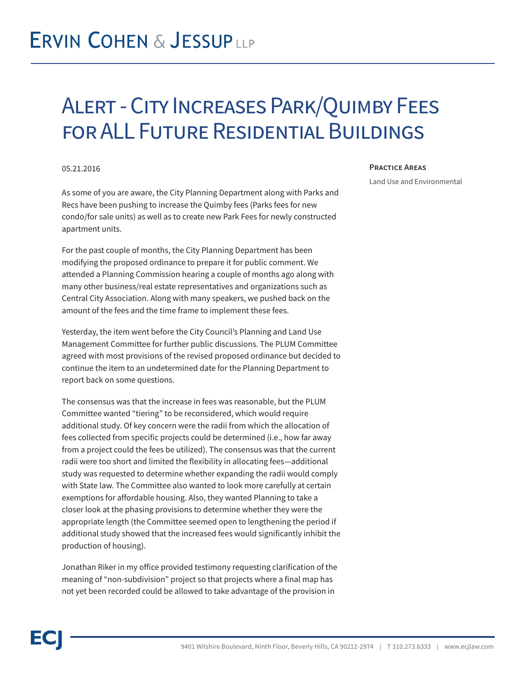## **ERVIN COHEN & JESSUPLLP**

### Alert - City Increases Park/Quimby Fees for ALL Future Residential Buildings

#### 05.21.2016

As some of you are aware, the City Planning Department along with Parks and Recs have been pushing to increase the Quimby fees (Parks fees for new condo/for sale units) as well as to create new Park Fees for newly constructed apartment units.

For the past couple of months, the City Planning Department has been modifying the proposed ordinance to prepare it for public comment. We attended a Planning Commission hearing a couple of months ago along with many other business/real estate representatives and organizations such as Central City Association. Along with many speakers, we pushed back on the amount of the fees and the time frame to implement these fees.

Yesterday, the item went before the City Council's Planning and Land Use Management Committee for further public discussions. The PLUM Committee agreed with most provisions of the revised proposed ordinance but decided to continue the item to an undetermined date for the Planning Department to report back on some questions.

The consensus was that the increase in fees was reasonable, but the PLUM Committee wanted "tiering" to be reconsidered, which would require additional study. Of key concern were the radii from which the allocation of fees collected from specific projects could be determined (i.e., how far away from a project could the fees be utilized). The consensus was that the current radii were too short and limited the flexibility in allocating fees—additional study was requested to determine whether expanding the radii would comply with State law. The Committee also wanted to look more carefully at certain exemptions for affordable housing. Also, they wanted Planning to take a closer look at the phasing provisions to determine whether they were the appropriate length (the Committee seemed open to lengthening the period if additional study showed that the increased fees would significantly inhibit the production of housing).

Jonathan Riker in my office provided testimony requesting clarification of the meaning of "non-subdivision" project so that projects where a final map has not yet been recorded could be allowed to take advantage of the provision in

#### **Practice Areas**

Land Use and Environmental